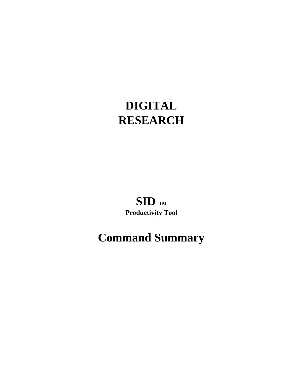# **DIGITAL RESEARCH**

# $SID$  **TM Productivity Tool**

# **Command Summary**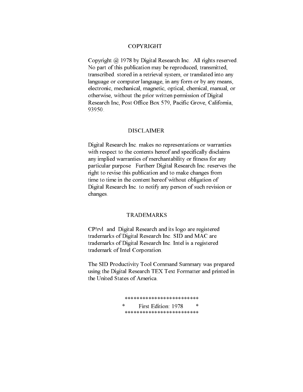#### COPYRIGHT

 Copyright @ 1978 by Digital Research Inc. All rights reserved. No part of this publication may be reproduced, transmitted, transcribed. stored in a retrieval system, or translated into any language or computer language, in any form or by any means, electronic, mechanical, magnetic, optical, chemical, manual, or otherwise, without the prior written permission of Digital Research Inc, Post Office Box 579, Pacific Grove, California, 93950.

#### DISCLAIMER

 Digital Research Inc. makes no representations or warranties with respect to the contents hereof and specifically disclaims any implied warranties of merchantability or fitness for any particular purpose Furtherr Digital Research Inc. reserves the right to revise this publication and to make changes from time to time in the content hereof without obligation of Digital Research Inc. to notify any person of such revision or changes.

#### TRADEMARKS

 CP!rvl and Digital Research and its logo are registered trademarks of Digital Research Inc. SID and MAC are trademarks of Digital Research Inc. Intel is a registered trademark of Intel Corporation.

 The SID Productivity Tool Command Summary was prepared using the Digital Research TEX Text Formatter and printed in the United States of America.

> \*\*\*\*\*\*\*\*\*\*\*\*\*\*\*\*\*\*\*\* First Edition: 1978 \*\*\*\*\*\*\*\*\*\*\*\*\*\*\*\*\*\*\*\*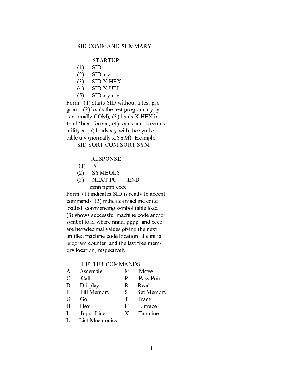STARTUP

- (1) SID
- $(2)$  SID x.y
- (3) SID X.HEX
- (4) SID X.UTL
- (5) SID x.y u.v

 Form (1) starts SID without a test pro gram, (2) loads the test program x.y (y is normally COM), (3) loads X.HEX in Intel "hex" format, (4) loads and executes utility x, (5) loads x.y with the symbol table u.v (normally x.SYM). Example: SID SORT.COM SORT.SYM

#### RESPONSE

- $(1)$  #
- (2) SYMBOLS
- (3) NEXT PC END nnnn pppp eeee

 Form (1) indicates SID is ready to accept commands, (2) indicates machine code loaded, commencing symbol table load, (3) shows successful machine code and/or symbol load where nnnn, pppp, and eeee are hexadecimal values giving the next unfilled machine code location, the initial program counter, and the last free mem ory location, respectively.

#### LETTER COMMANDS

- A Assemble M Move C Call P Pass Point
- D D isplay R Read
- F Fill Memory S Set Memory
- G Go T Trace
	- H Hex U Untrace
	- I Input Line X Examine
	- L List Mnemonics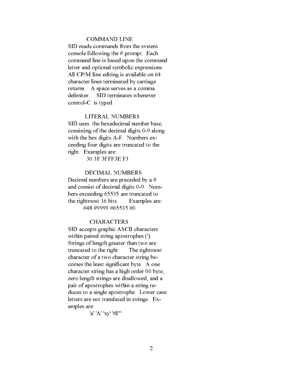#### COMMAND LINE

 SID reads commands from the svstem console following the # prompt. Each command line is based upon the command letter and optional symbolic expressions. All CP/M Iine editing is available on 64 character lines terminated by carriage returns. A space serves as a comma delimiter. SID terminates whenever control-C is typed.

#### LITERAL NUMBERS

 SID uses the hexadecimal number base, consisting of the decimal digits 0-9 along with the hex digits A-F. Numbers ex ceeding four digits are truncated to the right. Examples are:

30 3F 3f FF3E F3

#### DECIMAL NUMBERS

 Decimal numbers are preceded by a # and consist of decimal digits 0-9. Num bers exceeding 65535 are truncated to the rightmost 16 bits. Examples are: #48 #9999 #65535 #0

#### **CHARACTERS**

 SID accepts graphic ASCII characters within paired string apostrophes ('). Strings of length greater than two are truncated to the right. The rightmost character of a two character string be comes the least significant byte. A one character string has a high order 00 byte, zero length strings are disallowed, and a pair of apostrophes within a string re duces to a single apostrophe. Lower case letters are not translated in strings. Ex amples are:

'a' 'A' 'xy' '#I"'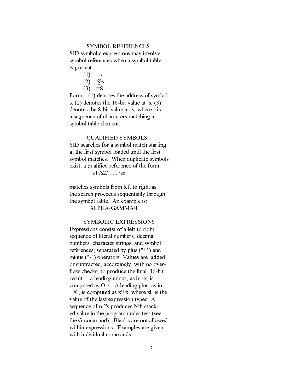#### SYMBOL REFERENCES

 SID symbolic expressions may involve symbol references when a symbol table is present:

- $(1)$  .s
- $(2)$   $\oslash$  8
- $(3) = S$

 Form (1) denotes the address of symbol s, (2) denotes the 16-bit value at .s, (3) denotes the 8-bit value at .s, where s is a sequence of characters matching a symbol table element.

#### QUALIFIED SYMBOLS

 SID searches for a symbol match starting at the first symbol loaded until the first symbol matches. When duplicate symbols exist, a qualified reference of the form:

s1  $/s2/$  . . .  $/sn$ 

 matches symbols from left to right as the search proceeds sequentially through the symbol table. An example is: ALPHA/GAMMA/I

#### SYMBOLIC EXPRESSIONS

 Expressions consist of a left to right sequence of literal numbers, decimal numbers, character strings, and symbol references, separated by plus ("+") and minus ("-") operators. Values are added or subtracted, accordingly, with no over flow checks, to produce the final 16-bit result. a leading minus, as in -x, is computed as O-x. A leading plus, as in  $+X$ , is computed as  $x'+x$ , where xl is the value of the last expression typed. A sequence of  $n \wedge s$  produces Nth stack ed value in the program under test (see the G command). Blanks are not allowed within expressions. Examples are given with individual commands.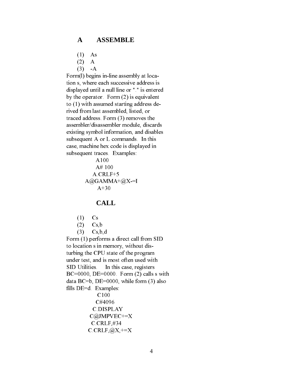#### **A ASSEMBLE**

- (1) As
- $(2)$  A
- $(3)$  -A

 Form(l) begins in-line assembly at loca tion s, where each successive address is displayed until a null line or "." is entered by the operator. Form (2) is equivalent to (1) with assumed starting address de rived from last assembled, listed, or traced address. Form (3) removes the assembler/disassembler module, discards existing symbol information, and disables subsequent A or L commands. In this case, machine hex code is displayed in subsequent traces. Examples:

> A100 A# 100 A.CRLF+5  $A@GAMMA+@X=I$ A+30

#### **CALL**

- (1) Cs
- $(2)$  Cs, b
- (3) Cs,b,d

 Form (1) performs a direct call from SID to location s in memory, without dis turbing the CPU state of the program under test, and is most often used with SID Utilities. In this case, registers  $BC=0000$ ,  $DE=0000$ . Form (2) calls s with data  $BC=b$ ,  $DE=0000$ , while form (3) also fills DE=d. Examples: C100 C#4096 C.DISPLAY C@JMPVEC+=X C.CRLF,#34  $C.CRLF, @X, \text{+=}X$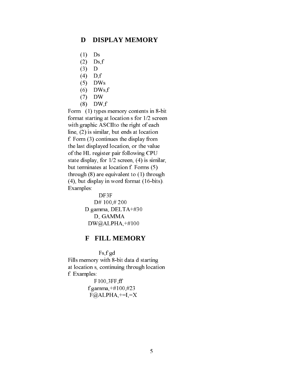#### **D DISPLAY MEMORY**

- (1) Ds
- (2) Ds,f
- (3) D
- (4) D,f
- (5) DWs
- $(6)$  DWs, f
- (7) DW
- (8) DW,f

 Form (1) types memory contents in 8-bit format starting at location s for 1/2 screen with graphic ASCIIto the right of each line, (2) is similar, but ends at location f. Form (3) continues the display from the last displayed location, or the value of the HL register pair following CPU state display, for 1/2 screen, (4) is similar, but terminates at location f. Forms (5) through (8) are equivalent to (1) through (4), but display in word format (16-bits). Examples:

> DF3F D# 100,# 200 D.gamma,.DELTA+#30 D,.GAMMA DW@ALPHA,+#100

#### **F FILL MEMORY**

 Fs,f gd Fills memory with 8-bit data d starting at location s, continuing through location f. Examples:

> F100,3FF,ff f.gamma,+#100,#23  $F@$ ALPHA, $+=$ I, $=X$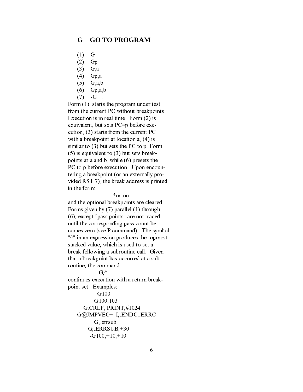#### **G GO TO PROGRAM**

- (1) G
- (2) Gp
- (3) G,a
- (4) Gp,a
- (5) G,a,b
- (6) Gp,a,b
- $(7)$  -G . . .

 Form (1) starts the program under test from the current PC without breakpoints. Execution is in real time. Form (2) is equivalent, but sets PC=p before exe cution, (3) starts from the current PC with a breakpoint at location a,  $(4)$  is similar to (3) but sets the PC to p. Form (5) is equivalent to (3) but sets break points at a and b, while (6) presets the PC to p before execution. Upon encoun tering a breakpoint (or an externally pro vided RST 7), the break address is printed in the form:

\*nn.nn

 and the optional breakpoints are cleared. Forms given by (7) parallel (1) through (6), except "pass points" are not traced until the corresponding pass count be comes zero (see P command). The symbol "<sup> $\wedge$ " in an expression produces the topmost</sup> stacked value, which is used to set a break following a subroutine call. Given that a breakpoint has occurred at a sub routine, the command

 $\mathsf{G},^\wedge$ 

 continues execution with a return break point set. Examples:

```
 G100
      G100,103
  G.CRLF,.PRINT,#1024
G@JMPVEC+=I,.ENDC,.ERRC
      G,.errsub
   G,.ERRSUB,+30
   -G100,+10,+10
```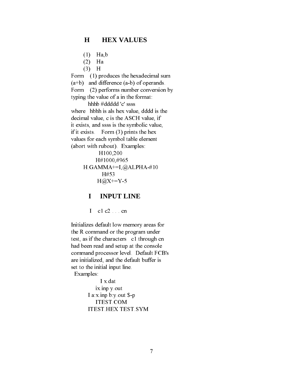#### **H HEX VALUES**

- (1) Ha,b
- (2) Ha
- $(3)$  H

Form (1) produces the hexadecimal sum (a+b) and difference (a-b) of operands.

Form (2) performs number conversion by

typing the value of a in the format:

hhhb #ddddd 'c' ssss

 where hbhh is als hex value, dddd is the decimal value, c is the ASCH value, if it exists, and ssss is the symbolic value, if it exists. Form (3) prints the hex values for each symbol table element

 (abort with rubout). Examples: H100,200

```
 H#1000,#965
H.GAMMA+=I,@ALPHA-#10
     H#53
   H@X+=Y-5
```
### **I INPUT LINE**

 $I$  c1 c2 . . . cn

 Initializes default low memory areas for the R command or the program under test, as if the characters c1 through cn had been read and setup at the console command processor level. Default FCB's are initialized, and the default buffer is set to the initial input line. Examples:

> I x.dat ix.inp y.out I a:x.inp b:y.out \$-p ITEST.COM ITEST.HEX TEST.SYM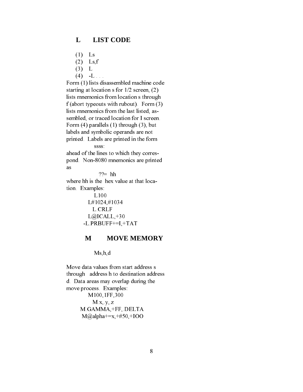#### **L LIST CODE**

- (1) Ls
- (2) Ls,f
- (3) L
- $(4)$  -L . . .

 Form (1) lists disassembled machine code starting at location s for 1/2 screen, (2) lists mnemonics from location s through f (abort typeouts with rubout). Form (3) lists mnemonics from the last listed, as sembled, or traced location for I screen. Form (4) parallels (1) through (3), but labels and symbolic operands are not printed. Labels are printed in the form ssss:

 ahead of the lines to which they corres pond. Non-8080 mnemonics are printed as

 $??=$  hh where hh is the hex value at that loca tion. Examples:

> L100 L#1024,#1034 L.CRLF  $L@$ ICALL, $+30$ -L.PRBUFF+=I,+TAT

#### **M MOVE MEMORY**

Ms,h,d

 Move data values from start address s through address h to destination address d. Data areas may overlap during the move process. Examples: M100,1FF,300

 $M.x, y, z$  M.GAMMA,+FF,.DELTA  $M(\partial \theta_a)$ alpha+=x,+#50,+IOO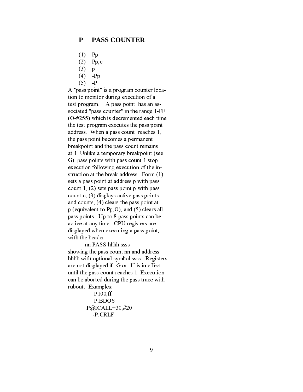#### **P PASS COUNTER**

- (1) Pp
- (2) Pp,c
- (3) p
- $(4)$  -Pp
- $(5)$  -P

 A "pass point" is a program counter loca tion to monitor during execution of a test program. A pass point has an as sociated "pass counter" in the range 1-FF (O-#255) which is decremented each time the test program executes the pass point address. When a pass count reaches 1, the pass point becomes a permanent breakpoint and the pass count remains at 1. Unlike a temporary breakpoint (see G), pass points with pass count 1 stop execution following execution of the in struction at the break address. Form (1) sets a pass point at address p with pass count 1, (2) sets pass point p with pass count c, (3) displays active pass points and counts, (4) clears the pass point at p (equivalent to Pp,O), and (5) clears all pass points. Up to 8 pass points can be active at any time. CPU registers are displayed when executing a pass point, with the header

 nn PASS hhhh ssss showing the pass count nn and address hhhh with optional symbol ssss. Registers are not displayed if -G or -U is in effect until the pass count reaches 1. Execution can be aborted during the pass trace with rubout. Examples:

```
 P100,ff
   P.BDOS
P@ICALL+30,#20
  -P.CRLF
```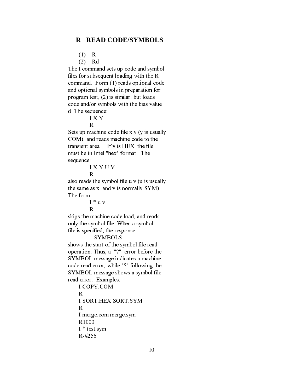#### **R READ CODE/SYMBOLS**

(1) R

(2) Rd

 The I command sets up code and symbol files for subsequent loading with the R command. Form (1) reads optional code and optional symbols in preparation for program test, (2) is similar. but loads code and/or symbols with the bias value d. The sequence:

## I X.Y

 R Sets up machine code file x.y (y is usually COM), and reads machine code to the transient area. If y is HEX, the file must be in Intel "hex" format. The sequence:

I X.Y U.V

```
 R
```
 also reads the symbol file u.v (u is usually the same as x, and v is normally SYM). The form:

 $I * u.v$ 

R

 skips the machine code load, and reads only the symbol file. When a symbol file is specified, the response

#### **SYMBOLS**

 shows the start of the symbol file read operation. Thus, a "?" error before the SYMBOL message indicates a machine code read error, while "?" following the SYMBOL message shows a symbol file read error. Examples:

 I COPY.COM R I SORT.HEX SORT.SYM R I merge.com merge.sym R1000 I \* test.sym R-#256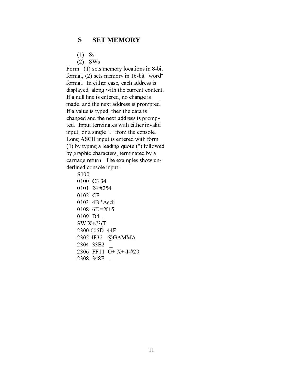#### **S SET MEMORY**

- (1) Ss
- (2) SWs

 Form (1) sets memory locations in 8-bit format, (2) sets memory in 16-bit "word" format. In either case, each address is displayed, along with the current content. If a null line is entered, no change is made, and the next address is prompted. If a value is typed, then the data is changed and the next address is promp ted. Input terminates with either invalid input, or a single "." from the console. Long ASCII input is entered with form (1) by typing a leading quote (") followed by graphic characters, terminated by a carriage return. The examples show un derlined console input:

 S100 0100 C3 34 0101 24 #254 0102 CF 0103 4B "Ascii 0108  $6E = X+5$ 0109 D4 . SW.X+#3(T 2300 006D 44F 2302 4F32 @GAMMA 2304 33E2 \_ 2306 FF11 O+.X+-I-#20 2308 348F .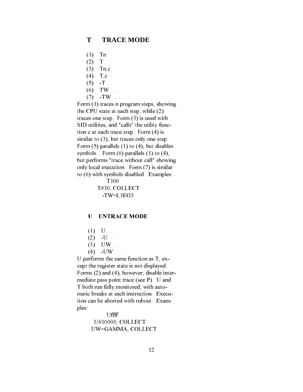#### **T TRACE MODE**

- (1) Tn
- $(2)$  T
- (3) Tn,c
- (4) T,c
- $(5)$  -T . . .
- $(6)$  TW . . .
- $(7)$  -TW . . .

 Form (1) traces n program steps, showing the CPU state at each step, while (2) traces one step. Form (3) is used with SID utilities, and "calls" the utility func tion c at each trace step. Form (4) is similar to  $(3)$ , but traces only one step. Form (5) parallels (1) to (4), but disables symbols. Form (6) parallels (1) to (4), but performs "trace without call" showing only local execution. Form (7) is similar to (6) with symbols disabled. Examples: T100

 T#30,.COLLECT -TW=I,3EO3

#### U UNTRACE MODE

- $(1)$  U . . .
- $(2)$  -U
	- $(3)$  UW . . .
	- $(4)$  -UW . . .

 U performs the same function as T, ex cept the register state is not displayed. Forms (2) and (4), however, disable inter mediate pass point trace (see P). U and T both run fully monitored, with auto matic breaks at each instruction. Execu tion can be aborted with rubout. Exam ples:

> Uffff U#10000,.COLLECT UW=GAMMA,.COLLECT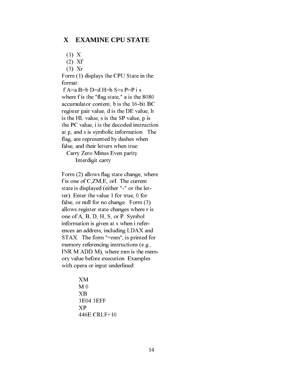#### **X EXAMINE CPU STATE**

(1) X

(2) Xf

(3) Xr

 Form (1) displays the CPU State in the format:

 f A=a B=b D=d H=h S=s P=P i s where f is the "flag state," a is the 8080 accumulator content, b is the 16-bit BC register pair value, d is the DE value, h is the HL value, s is the SP value, p is the PC value, i is the decoded instruction at p, and s is symbolic information. The flag, are represented by dashes when false, and their letters when true:

 Carry Zero Minus Even parity Interdigit carry

 Form (2) allows flag state change, where f is one of C,ZM,E, orI. The current state is displayed (either "-" or the let ter). Enter the value 1 for true, 0 for false, or null for no change. Form (3) allows register state changes where r is one of A, B, D, H, S, or P. Symbol information is given at s when i refer ences an address, including LDAX and STAX. The form "=mm", is printed for memory referencing instructions (e.g., INR M ADD M), where mm is the mem ory value before execution. Examples with opera or input underlined:

> XM M 0 XB 3E04 3EFF XP 446E CRLF+10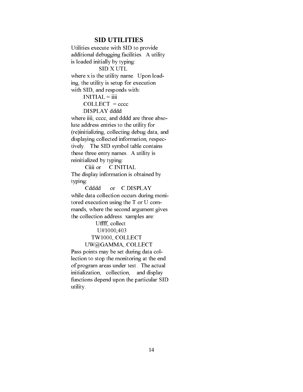#### **SID UTILITIES**

 Utilities execute with SID to provide additional debugging facilities. A utility is loaded initially by typing: SID X.UTL where x is the utility name. Upon load ing, the utility is setup for execution with SID, and responds with: .INITIAL = iiii  $COLLECT = cccc$  .DISPLAY dddd where iiii, cccc, and dddd are three abso lute address entries to the utility for (re)initializing, collecting debug data, and displaying collected information, respec tively. The SID symbol table contains these three entry names. A utility is reinitialized by typing:

Ciiii or C.INITIAL The display information is obtained by typing:

 Cdddd or C.DISPLAY while data collection occurs during moni tored execution using the T or U com mands, where the second argument gives the collection address. xamples are:

Uffff, collect

U#1000,403

### TW1000,.COLLECT

#### UW@GAMMA,.COLLECT

 Pass points may be set during data col lection to stop the monitoring at the end of program areas under test. The actual initialization, collection, and display functions depend upon the particular SID utility.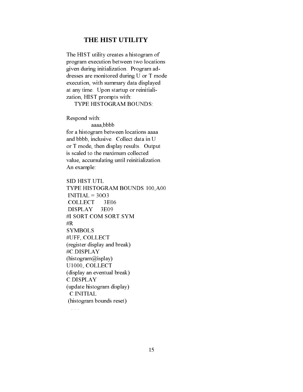#### **THE HIST UTILITY**

 The HIST utility creates a histogram of program execution between two locations given during initialization. Program ad dresses are monitored during U or T mode execution, with summary data displayed at any time. Upon startup or reinitiali zation, HIST prompts with:

TYPE HISTOGRAM BOUNDS:

Respond with:

 aaaa,bbbb for a histogram between locations aaaa and bbbb, inclusive. Collect data in U or T mode, then display results. Output is scaled to the maximum collected value, accumulating until reinitialization. An example:

 SID HIST.UTL TYPE HISTOGRAM BOUNDS 100,A00  $INTIAL = 30O3$  .COLLECT 3E06 .DISPLAY 3E09 #I SORT.COM SORT.SYM #R SYMBOLS #UFF,.COLLECT (register display and break) #C.DISPLAY (histogram@isplay) U1000,.COLLECT (display an eventual break) C.DISPLAY (update histogram display) C.INITIAL (histogram bounds reset)

 $\mathbf{r}$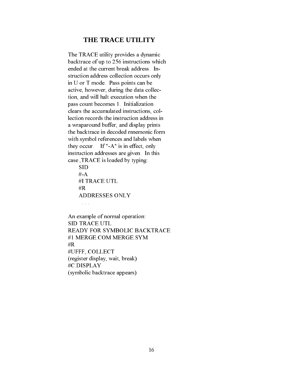#### **THE TRACE UTILITY**

 The TRACE utility provides a dynamic backtrace of up to 256 instructions which ended at the current break address. In struction address collection occurs only in U or T mode. Pass points can be active, however, during the data collec tion, and will halt execution when the pass count becomes 1. Initialization clears the accumulated instructions, col lection records the instruction address in a wraparound buffer, and display prints the backtrace in decoded mnemonic form with symbol references and labels when they occur. If "-A" is in effect, only instruction addresses are given. In this case ,TRACE is loaded by typing:

 SID #-A #I TRACE.UTL #R ADDRESSES ONLY

. . .

 An example of normal operation: SID TRACE.UTL READY FOR SYMBOLIC BACKTRACE #1 MERGE.COM MERGE.SYM #R #UFFF,.COLLECT (register display, wait, break) #C.DISPLAY (symbolic backtrace appears)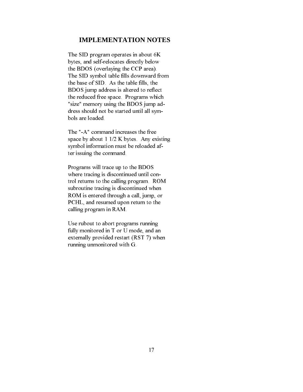#### **IMPLEMENTATION NOTES**

 The SID program operates in about 6K bytes, and self-relocates directly below the BDOS (overlaying the CCP area). The SID symbol table fills downward from the base of SID. As the table fills, the BDOS jump address is altered to reflect the reduced free space. Programs which "size" memory using the BDOS jump ad dress should not be started until all sym bols are loaded.

 The "-A" command increases the free space by about 1 1/2 K bytes. Any existing symbol information must be reloaded af ter issuing the command.

 Programs will trace up to the BDOS where tracing is discontinued until con trol returns to the calling program. ROM subroutine tracing is discontinued when ROM is entered through a call, jump, or PCHL, and resumed upon return to the calling program in RAM.

 Use rubout to abort programs running fully monitored in T or U mode, and an externally provided restart (RST 7) when running unmonitored with G.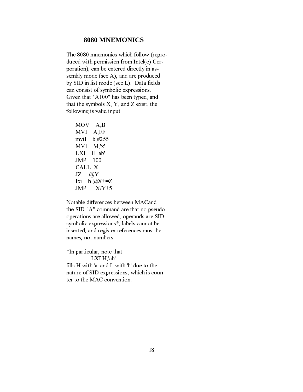#### **8080 MNEMONICS**

 The 8080 mnemonics which follow (repro duced with permission from Intel(c) Cor poration), can be entered directly in as sembly mode (see A), and are produced by SID in list mode (see L). Data fields can consist of symbolic expressions. Given that "A100" has been typed, and that the symbols  $X$ ,  $Y$ , and  $Z$  exist, the following is valid input:

 MOV A,B MVI A,FF mviI b,#255 MVI M,'x' LXI H,'ab' JMP 100 CALL .X  $JZ \quad \omega(X)$ Ixi  $h, @X+=Z$ <br>JMP  $X/Y+5$  $X/Y+5$ 

 Notable differences between MACand the SID "A" command are that no pseudo operations are allowed, operands are SID symbolic expressions\*, labels cannot be inserted, and register references must be names, not numbers.

 \*In particular, note that LXI H,'ab' fills H with 'a' and L with 'b' due to the nature of SID expressions, which is coun ter to the MAC convention.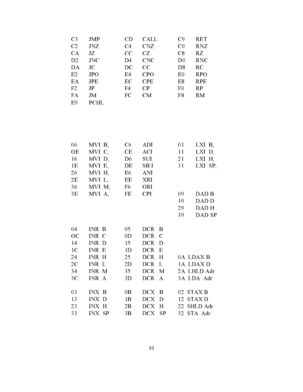| C <sub>3</sub> | JMP            | CD             | CALL       | C9             | <b>RET</b> |
|----------------|----------------|----------------|------------|----------------|------------|
| C <sub>2</sub> | JNZ            | C <sub>4</sub> | <b>CNZ</b> | C <sub>0</sub> | <b>RNZ</b> |
| CA             | JZ             | CC             | CZ         | C8             | RZ         |
| D <sub>2</sub> | <b>JNC</b>     | D <sub>4</sub> | <b>CNC</b> | D <sub>0</sub> | <b>RNC</b> |
| DA             | JC             | DC             | CC         | D8             | RC         |
| E2             | <b>JPO</b>     | E4             | <b>CPO</b> | E <sub>0</sub> | <b>RPO</b> |
| EA             | JPE            | EC             | <b>CPE</b> | E8             | <b>RPE</b> |
| F <sub>2</sub> | J <sub>P</sub> | F <sub>4</sub> | CP         | F <sub>0</sub> | RP         |
| FA             | JM             | <b>FC</b>      | CM         | F8             | RM         |
| E9             | PCHL           |                |            |                |            |

| 06             | MVI B. | C6             | <b>ADI</b> | 01 | LXI B.   |
|----------------|--------|----------------|------------|----|----------|
| <b>OE</b>      | MVI C, | CE             | ACI -      | 11 | $LXI$ D. |
| 16             | MVI D, | D <sub>6</sub> | <b>SUI</b> | 21 | LXI H,   |
| 1E             | MVI E, | DE             | SB I       | 31 | LXI SP,  |
| 26             | MVI H, | E6             | <b>ANI</b> |    |          |
| 2E             | MVI L, | EE             | <b>XRI</b> |    |          |
| 36             | MVI M, | F6             | <b>ORI</b> |    |          |
| 3E             | MVI A  | FE             | <b>CPI</b> | 09 | DAD B    |
|                |        |                |            | 19 | DAD D    |
|                |        |                |            | 29 | DAD H    |
|                |        |                |            | 39 | DAD SP   |
|                |        |                |            |    |          |
| 04             | INR B  | 05             | DCR B      |    |          |
| OC             | INR C  | 0 <sub>D</sub> | DCR C      |    |          |
| 14             | INR D  | 15             | DCR D      |    |          |
| 1 <sup>C</sup> | INR E  | 1 <sub>D</sub> | DCR E      |    |          |
|                |        |                |            |    |          |

| 24 | INR H         | 25             | DCR H   | 0A LDAXB    |
|----|---------------|----------------|---------|-------------|
| 2C | INR L         | 2D             | DCR L   | 1A LDAX D   |
| 34 | INR M         | 35             | DCR M   | 2A LHLD Adr |
| 3C | INR A         | 3D             | DCR A   | 3A LDA Adr  |
|    |               |                |         |             |
| 03 | INX B         | 0 <sub>B</sub> | $DCX$ B | 02 STAX B   |
| 13 | INX D         | 1 <sub>B</sub> | DCX D   | 12 STAX D   |
| 23 | <b>INX H</b>  | 2B             | DCX H   | 22 SHLD Adr |
| 33 | <b>INX SP</b> | 3B             | DCX SP  | 32 STA Adr  |
|    |               |                |         |             |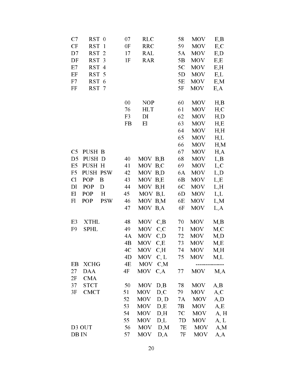| C7<br>RST 0                       | 07             | <b>RLC</b>           | 58 | MOV        | E,B  |
|-----------------------------------|----------------|----------------------|----|------------|------|
| CF<br>RST 1                       | 0F             | <b>RRC</b>           | 59 | <b>MOV</b> | E, C |
| D7<br>RST <sub>2</sub>            | 17             | RAL                  | 5A | <b>MOV</b> | E,D  |
| DF<br>RST 3                       | 1F             | <b>RAR</b>           | 5B | <b>MOV</b> | E, E |
| E7<br>RST 4                       |                |                      | 5C | <b>MOV</b> | E,H  |
| EF<br>RST 5                       |                |                      | 5D | <b>MOV</b> | E,L  |
| F7<br>RST 6                       |                |                      | 5E | <b>MOV</b> | E, M |
| FF<br>RST 7                       |                |                      | 5F | <b>MOV</b> | E, A |
|                                   | 00             | <b>NOP</b>           | 60 | <b>MOV</b> | H,B  |
|                                   | 76             | <b>HLT</b>           | 61 | <b>MOV</b> | H, C |
|                                   | F <sub>3</sub> | DI                   | 62 | <b>MOV</b> | H,D  |
|                                   | <b>FB</b>      | E1                   | 63 | <b>MOV</b> | H,E  |
|                                   |                |                      | 64 | MOV        | H,H  |
|                                   |                |                      | 65 | <b>MOV</b> | H,L  |
|                                   |                |                      | 66 | <b>MOV</b> | H, M |
| PUSH B<br>C <sub>5</sub>          |                |                      | 67 | <b>MOV</b> | H, A |
| D <sub>5</sub><br>PUSH D          | 40             | MOV B,B              | 68 | <b>MOV</b> | L, B |
| E5<br>PUSH H                      | 41             | MOV B,C              | 69 | <b>MOV</b> | L, C |
| <b>PUSH PSW</b><br>F <sub>5</sub> | 42             | MOV B <sub>,</sub> D | 6A | <b>MOV</b> | L, D |
| Cl<br>POP<br>B                    | 43             | MOV B,E              | 6B | <b>MOV</b> | L,E  |
| POP<br>D <sub>1</sub><br>D        | 44             | MOV B,H              | 6C | <b>MOV</b> | L, H |
| POP<br>E1<br>H                    | 45             | MOV B,L              | 6D | <b>MOV</b> | L,L  |
| <b>POP</b><br>F1<br><b>PSW</b>    | 46             | MOV B,M              | 6E | <b>MOV</b> | L, M |
|                                   | 47             | MOV B,A              | 6F | <b>MOV</b> | L, A |
| E <sub>3</sub><br><b>XTHL</b>     | 48             | MOV C,B              | 70 | <b>MOV</b> | M,B  |
| F <sub>9</sub><br><b>SPHL</b>     | 49             | <b>MOV</b><br>C, C   | 71 | <b>MOV</b> | M,C  |
|                                   | 4A             | MOV C <sub>,</sub> D | 72 | <b>MOV</b> | M,D  |
|                                   | 4B             | MOV C,E              | 73 | <b>MOV</b> | M,E  |
|                                   | 4C             | <b>MOV</b><br>C, H   | 74 | <b>MOV</b> | M,H  |
|                                   | 4D             | MOV $C, L$           | 75 | MOV        | M,L  |
| EB<br><b>XCHG</b>                 | 4E             | MOV C <sub>,</sub> M |    |            |      |
| 27<br><b>DAA</b>                  | 4F             | MOV<br>C, A          | 77 | <b>MOV</b> | M, A |
| 2F<br><b>CMA</b>                  |                |                      |    |            |      |
| 37<br><b>STCT</b>                 | 50             | <b>MOV</b><br>D, B   | 78 | <b>MOV</b> | A,B  |
| <b>CMCT</b><br>3F                 | 51             | D, C<br><b>MOV</b>   | 79 | <b>MOV</b> | A, C |
|                                   | 52             | <b>MOV</b><br>D, D   | 7A | <b>MOV</b> | A, D |
|                                   | 53             | <b>MOV</b><br>D, E   | 7B | <b>MOV</b> | A, E |
|                                   | 54             | <b>MOV</b><br>D, H   | 7C | <b>MOV</b> | A, H |
|                                   | 55             | D,L<br><b>MOV</b>    | 7D | MOV        | A, L |
| D3 OUT                            | 56             | D,M<br><b>MOV</b>    | 7E | MOV        | A, M |
| DB IN                             | 57             | <b>MOV</b><br>D, A   | 7F | <b>MOV</b> | A, A |